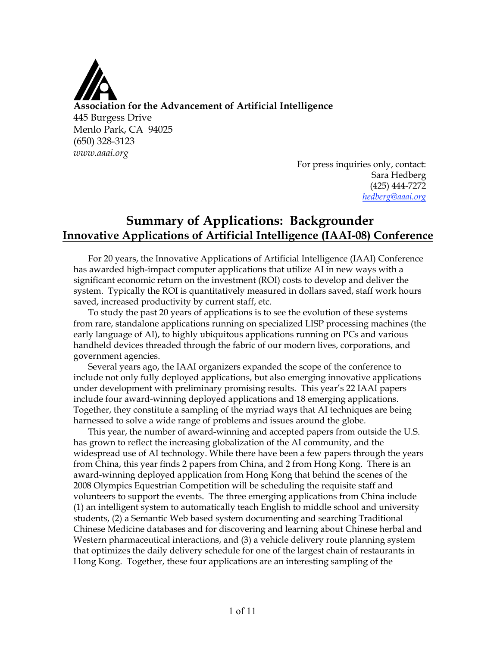

For press inquiries only, contact: Sara Hedberg (425) 444-7272 *hedberg@aaai.org*

# **Summary of Applications: Backgrounder Innovative Applications of Artificial Intelligence (IAAI-08) Conference**

For 20 years, the Innovative Applications of Artificial Intelligence (IAAI) Conference has awarded high-impact computer applications that utilize AI in new ways with a significant economic return on the investment (ROI) costs to develop and deliver the system. Typically the ROI is quantitatively measured in dollars saved, staff work hours saved, increased productivity by current staff, etc.

To study the past 20 years of applications is to see the evolution of these systems from rare, standalone applications running on specialized LISP processing machines (the early language of AI), to highly ubiquitous applications running on PCs and various handheld devices threaded through the fabric of our modern lives, corporations, and government agencies.

Several years ago, the IAAI organizers expanded the scope of the conference to include not only fully deployed applications, but also emerging innovative applications under development with preliminary promising results. This year's 22 IAAI papers include four award-winning deployed applications and 18 emerging applications. Together, they constitute a sampling of the myriad ways that AI techniques are being harnessed to solve a wide range of problems and issues around the globe.

This year, the number of award-winning and accepted papers from outside the U.S. has grown to reflect the increasing globalization of the AI community, and the widespread use of AI technology. While there have been a few papers through the years from China, this year finds 2 papers from China, and 2 from Hong Kong. There is an award-winning deployed application from Hong Kong that behind the scenes of the 2008 Olympics Equestrian Competition will be scheduling the requisite staff and volunteers to support the events. The three emerging applications from China include (1) an intelligent system to automatically teach English to middle school and university students, (2) a Semantic Web based system documenting and searching Traditional Chinese Medicine databases and for discovering and learning about Chinese herbal and Western pharmaceutical interactions, and (3) a vehicle delivery route planning system that optimizes the daily delivery schedule for one of the largest chain of restaurants in Hong Kong. Together, these four applications are an interesting sampling of the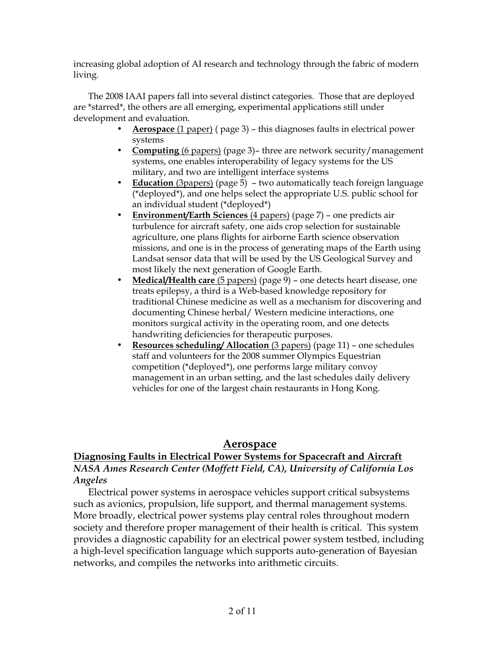increasing global adoption of AI research and technology through the fabric of modern living.

The 2008 IAAI papers fall into several distinct categories. Those that are deployed are \*starred\*, the others are all emerging, experimental applications still under development and evaluation.

- **Aerospace** (1 paper) ( page 3) this diagnoses faults in electrical power systems
- **Computing** (6 papers) (page 3)– three are network security/management systems, one enables interoperability of legacy systems for the US military, and two are intelligent interface systems
- **Education** (3papers) (page 5) two automatically teach foreign language (\*deployed\*), and one helps select the appropriate U.S. public school for an individual student (\*deployed\*)
- **Environment/Earth Sciences** (4 papers) (page 7) one predicts air turbulence for aircraft safety, one aids crop selection for sustainable agriculture, one plans flights for airborne Earth science observation missions, and one is in the process of generating maps of the Earth using Landsat sensor data that will be used by the US Geological Survey and most likely the next generation of Google Earth.
- **Medical/Health care** (5 papers) (page 9) one detects heart disease, one treats epilepsy, a third is a Web-based knowledge repository for traditional Chinese medicine as well as a mechanism for discovering and documenting Chinese herbal/ Western medicine interactions, one monitors surgical activity in the operating room, and one detects handwriting deficiencies for therapeutic purposes.
- **Resources scheduling/ Allocation** (3 papers) (page 11) one schedules staff and volunteers for the 2008 summer Olympics Equestrian competition (\*deployed\*), one performs large military convoy management in an urban setting, and the last schedules daily delivery vehicles for one of the largest chain restaurants in Hong Kong.

# **Aerospace**

### **Diagnosing Faults in Electrical Power Systems for Spacecraft and Aircraft** *NASA Ames Research Center (Moffett Field, CA), University of California Los Angeles*

Electrical power systems in aerospace vehicles support critical subsystems such as avionics, propulsion, life support, and thermal management systems. More broadly, electrical power systems play central roles throughout modern society and therefore proper management of their health is critical. This system provides a diagnostic capability for an electrical power system testbed, including a high-level specification language which supports auto-generation of Bayesian networks, and compiles the networks into arithmetic circuits.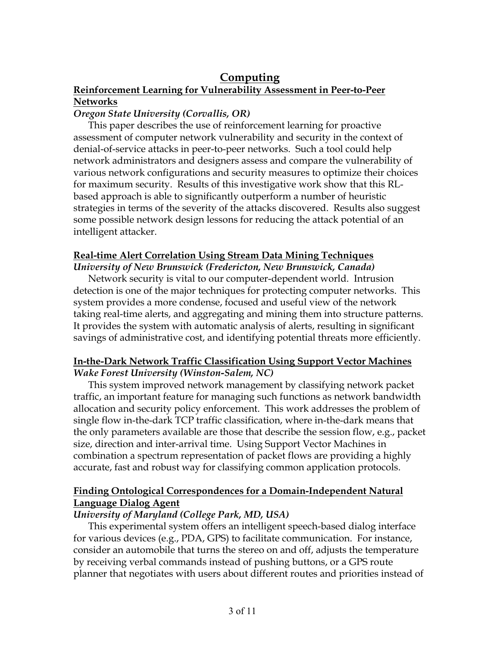### **Computing Reinforcement Learning for Vulnerability Assessment in Peer-to-Peer Networks**

#### *Oregon State University (Corvallis, OR)*

This paper describes the use of reinforcement learning for proactive assessment of computer network vulnerability and security in the context of denial-of-service attacks in peer-to-peer networks. Such a tool could help network administrators and designers assess and compare the vulnerability of various network configurations and security measures to optimize their choices for maximum security. Results of this investigative work show that this RLbased approach is able to significantly outperform a number of heuristic strategies in terms of the severity of the attacks discovered. Results also suggest some possible network design lessons for reducing the attack potential of an intelligent attacker.

### **Real-time Alert Correlation Using Stream Data Mining Techniques**

*University of New Brunswick (Fredericton, New Brunswick, Canada)*

Network security is vital to our computer-dependent world. Intrusion detection is one of the major techniques for protecting computer networks. This system provides a more condense, focused and useful view of the network taking real-time alerts, and aggregating and mining them into structure patterns. It provides the system with automatic analysis of alerts, resulting in significant savings of administrative cost, and identifying potential threats more efficiently.

### **In-the-Dark Network Traffic Classification Using Support Vector Machines** *Wake Forest University (Winston-Salem, NC)*

This system improved network management by classifying network packet traffic, an important feature for managing such functions as network bandwidth allocation and security policy enforcement. This work addresses the problem of single flow in-the-dark TCP traffic classification, where in-the-dark means that the only parameters available are those that describe the session flow, e.g., packet size, direction and inter-arrival time. Using Support Vector Machines in combination a spectrum representation of packet flows are providing a highly accurate, fast and robust way for classifying common application protocols.

# **Finding Ontological Correspondences for a Domain-Independent Natural Language Dialog Agent**

# *University of Maryland (College Park, MD, USA)*

This experimental system offers an intelligent speech-based dialog interface for various devices (e.g., PDA, GPS) to facilitate communication. For instance, consider an automobile that turns the stereo on and off, adjusts the temperature by receiving verbal commands instead of pushing buttons, or a GPS route planner that negotiates with users about different routes and priorities instead of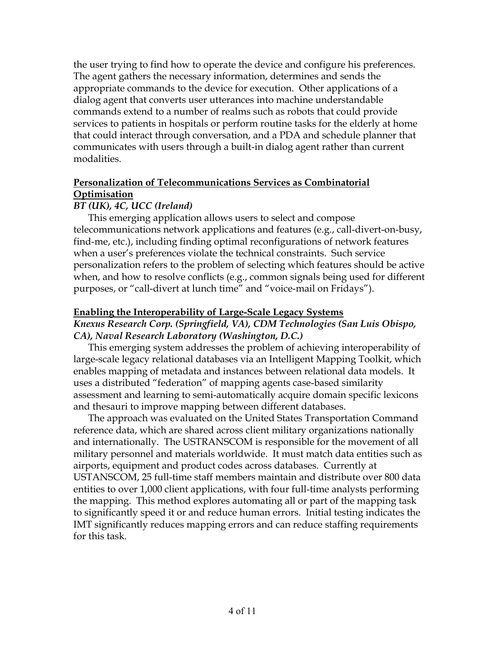the user trying to find how to operate the device and configure his preferences. The agent gathers the necessary information, determines and sends the appropriate commands to the device for execution. Other applications of a dialog agent that converts user utterances into machine understandable commands extend to a number of realms such as robots that could provide services to patients in hospitals or perform routine tasks for the elderly at home that could interact through conversation, and a PDA and schedule planner that communicates with users through a built-in dialog agent rather than current modalities.

### **Personalization of Telecommunications Services as Combinatorial Optimisation**

# *BT (UK), 4C, UCC (Ireland)*

This emerging application allows users to select and compose telecommunications network applications and features (e.g., call-divert-on-busy, find-me, etc.), including finding optimal reconfigurations of network features when a user's preferences violate the technical constraints. Such service personalization refers to the problem of selecting which features should be active when, and how to resolve conflicts (e.g., common signals being used for different purposes, or "call-divert at lunch time" and "voice-mail on Fridays").

### **Enabling the Interoperability of Large-Scale Legacy Systems**

### *Knexus Research Corp. (Springfield, VA), CDM Technologies (San Luis Obispo, CA), Naval Research Laboratory (Washington, D.C.)*

This emerging system addresses the problem of achieving interoperability of large-scale legacy relational databases via an Intelligent Mapping Toolkit, which enables mapping of metadata and instances between relational data models. It uses a distributed "federation" of mapping agents case-based similarity assessment and learning to semi-automatically acquire domain specific lexicons and thesauri to improve mapping between different databases.

The approach was evaluated on the United States Transportation Command reference data, which are shared across client military organizations nationally and internationally. The USTRANSCOM is responsible for the movement of all military personnel and materials worldwide. It must match data entities such as airports, equipment and product codes across databases. Currently at USTANSCOM, 25 full-time staff members maintain and distribute over 800 data entities to over 1,000 client applications, with four full-time analysts performing the mapping. This method explores automating all or part of the mapping task to significantly speed it or and reduce human errors. Initial testing indicates the IMT significantly reduces mapping errors and can reduce staffing requirements for this task.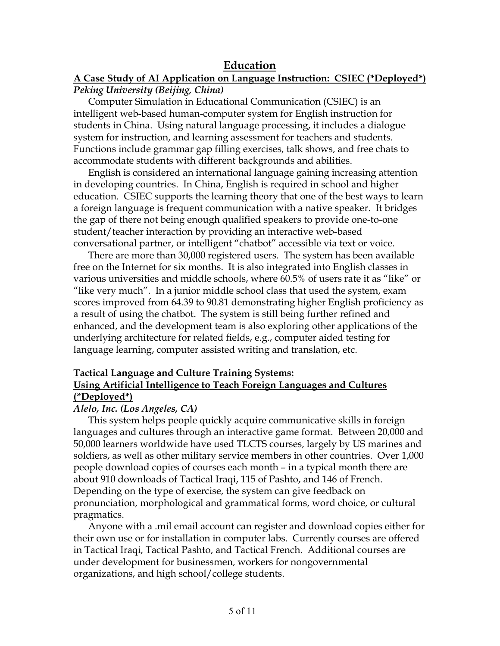# **Education**

#### **A Case Study of AI Application on Language Instruction: CSIEC (\*Deployed\*)** *Peking University (Beijing, China)*

Computer Simulation in Educational Communication (CSIEC) is an intelligent web-based human-computer system for English instruction for students in China. Using natural language processing, it includes a dialogue system for instruction, and learning assessment for teachers and students. Functions include grammar gap filling exercises, talk shows, and free chats to accommodate students with different backgrounds and abilities.

English is considered an international language gaining increasing attention in developing countries. In China, English is required in school and higher education. CSIEC supports the learning theory that one of the best ways to learn a foreign language is frequent communication with a native speaker. It bridges the gap of there not being enough qualified speakers to provide one-to-one student/teacher interaction by providing an interactive web-based conversational partner, or intelligent "chatbot" accessible via text or voice.

There are more than 30,000 registered users. The system has been available free on the Internet for six months. It is also integrated into English classes in various universities and middle schools, where 60.5% of users rate it as "like" or "like very much". In a junior middle school class that used the system, exam scores improved from 64.39 to 90.81 demonstrating higher English proficiency as a result of using the chatbot. The system is still being further refined and enhanced, and the development team is also exploring other applications of the underlying architecture for related fields, e.g., computer aided testing for language learning, computer assisted writing and translation, etc.

#### **Tactical Language and Culture Training Systems: Using Artificial Intelligence to Teach Foreign Languages and Cultures (\*Deployed\*)**

#### *Alelo, Inc. (Los Angeles, CA)*

This system helps people quickly acquire communicative skills in foreign languages and cultures through an interactive game format. Between 20,000 and 50,000 learners worldwide have used TLCTS courses, largely by US marines and soldiers, as well as other military service members in other countries. Over 1,000 people download copies of courses each month – in a typical month there are about 910 downloads of Tactical Iraqi, 115 of Pashto, and 146 of French. Depending on the type of exercise, the system can give feedback on pronunciation, morphological and grammatical forms, word choice, or cultural pragmatics.

Anyone with a .mil email account can register and download copies either for their own use or for installation in computer labs. Currently courses are offered in Tactical Iraqi, Tactical Pashto, and Tactical French. Additional courses are under development for businessmen, workers for nongovernmental organizations, and high school/college students.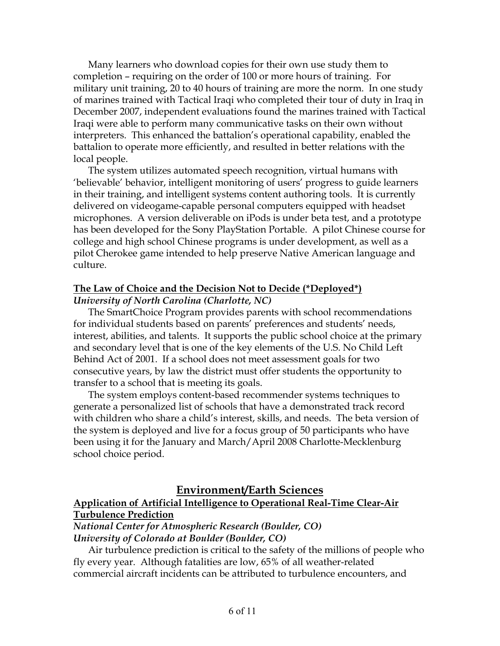Many learners who download copies for their own use study them to completion – requiring on the order of 100 or more hours of training. For military unit training, 20 to 40 hours of training are more the norm. In one study of marines trained with Tactical Iraqi who completed their tour of duty in Iraq in December 2007, independent evaluations found the marines trained with Tactical Iraqi were able to perform many communicative tasks on their own without interpreters. This enhanced the battalion's operational capability, enabled the battalion to operate more efficiently, and resulted in better relations with the local people.

The system utilizes automated speech recognition, virtual humans with 'believable' behavior, intelligent monitoring of users' progress to guide learners in their training, and intelligent systems content authoring tools. It is currently delivered on videogame-capable personal computers equipped with headset microphones. A version deliverable on iPods is under beta test, and a prototype has been developed for the Sony PlayStation Portable. A pilot Chinese course for college and high school Chinese programs is under development, as well as a pilot Cherokee game intended to help preserve Native American language and culture.

#### **The Law of Choice and the Decision Not to Decide (\*Deployed\*)** *University of North Carolina (Charlotte, NC)*

The SmartChoice Program provides parents with school recommendations for individual students based on parents' preferences and students' needs, interest, abilities, and talents. It supports the public school choice at the primary and secondary level that is one of the key elements of the U.S. No Child Left Behind Act of 2001. If a school does not meet assessment goals for two consecutive years, by law the district must offer students the opportunity to transfer to a school that is meeting its goals.

The system employs content-based recommender systems techniques to generate a personalized list of schools that have a demonstrated track record with children who share a child's interest, skills, and needs. The beta version of the system is deployed and live for a focus group of 50 participants who have been using it for the January and March/April 2008 Charlotte-Mecklenburg school choice period.

# **Environment/Earth Sciences**

# **Application of Artificial Intelligence to Operational Real-Time Clear-Air Turbulence Prediction**

*National Center for Atmospheric Research (Boulder, CO) University of Colorado at Boulder (Boulder, CO)*

Air turbulence prediction is critical to the safety of the millions of people who fly every year. Although fatalities are low, 65% of all weather-related commercial aircraft incidents can be attributed to turbulence encounters, and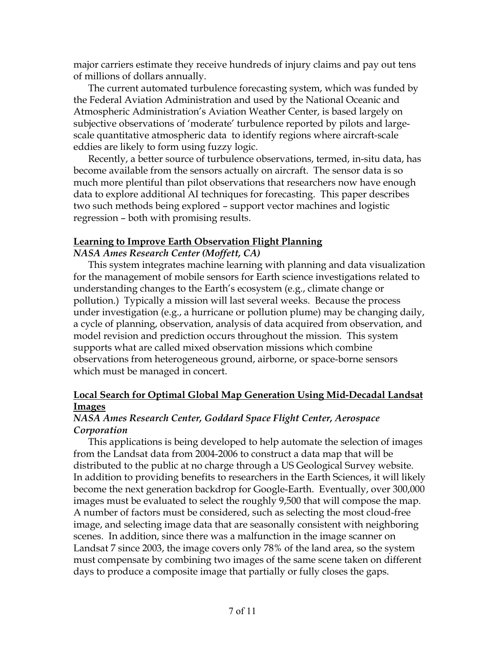major carriers estimate they receive hundreds of injury claims and pay out tens of millions of dollars annually.

The current automated turbulence forecasting system, which was funded by the Federal Aviation Administration and used by the National Oceanic and Atmospheric Administration's Aviation Weather Center, is based largely on subjective observations of 'moderate' turbulence reported by pilots and largescale quantitative atmospheric data to identify regions where aircraft-scale eddies are likely to form using fuzzy logic.

Recently, a better source of turbulence observations, termed, in-situ data, has become available from the sensors actually on aircraft. The sensor data is so much more plentiful than pilot observations that researchers now have enough data to explore additional AI techniques for forecasting. This paper describes two such methods being explored – support vector machines and logistic regression – both with promising results.

#### **Learning to Improve Earth Observation Flight Planning**

*NASA Ames Research Center (Moffett, CA)*

This system integrates machine learning with planning and data visualization for the management of mobile sensors for Earth science investigations related to understanding changes to the Earth's ecosystem (e.g., climate change or pollution.) Typically a mission will last several weeks. Because the process under investigation (e.g., a hurricane or pollution plume) may be changing daily, a cycle of planning, observation, analysis of data acquired from observation, and model revision and prediction occurs throughout the mission. This system supports what are called mixed observation missions which combine observations from heterogeneous ground, airborne, or space-borne sensors which must be managed in concert.

### **Local Search for Optimal Global Map Generation Using Mid-Decadal Landsat Images**

#### *NASA Ames Research Center, Goddard Space Flight Center, Aerospace Corporation*

This applications is being developed to help automate the selection of images from the Landsat data from 2004-2006 to construct a data map that will be distributed to the public at no charge through a US Geological Survey website. In addition to providing benefits to researchers in the Earth Sciences, it will likely become the next generation backdrop for Google-Earth. Eventually, over 300,000 images must be evaluated to select the roughly 9,500 that will compose the map. A number of factors must be considered, such as selecting the most cloud-free image, and selecting image data that are seasonally consistent with neighboring scenes. In addition, since there was a malfunction in the image scanner on Landsat 7 since 2003, the image covers only 78% of the land area, so the system must compensate by combining two images of the same scene taken on different days to produce a composite image that partially or fully closes the gaps.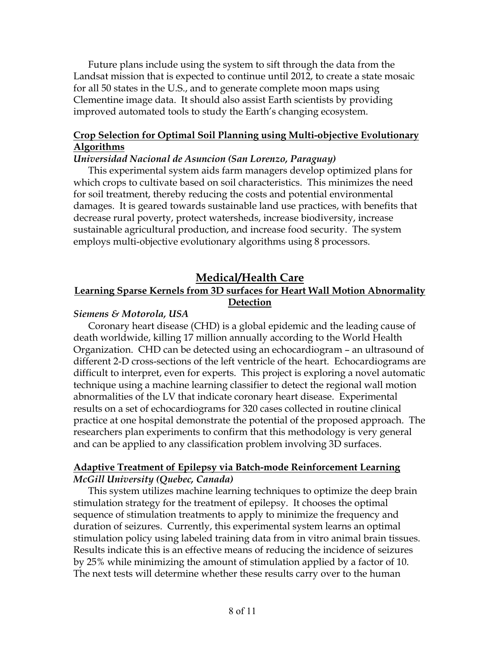Future plans include using the system to sift through the data from the Landsat mission that is expected to continue until 2012, to create a state mosaic for all 50 states in the U.S., and to generate complete moon maps using Clementine image data. It should also assist Earth scientists by providing improved automated tools to study the Earth's changing ecosystem.

# **Crop Selection for Optimal Soil Planning using Multi-objective Evolutionary Algorithms**

#### *Universidad Nacional de Asuncion (San Lorenzo, Paraguay)*

This experimental system aids farm managers develop optimized plans for which crops to cultivate based on soil characteristics. This minimizes the need for soil treatment, thereby reducing the costs and potential environmental damages. It is geared towards sustainable land use practices, with benefits that decrease rural poverty, protect watersheds, increase biodiversity, increase sustainable agricultural production, and increase food security. The system employs multi-objective evolutionary algorithms using 8 processors.

# **Medical/Health Care**

# **Learning Sparse Kernels from 3D surfaces for Heart Wall Motion Abnormality Detection**

### *Siemens & Motorola, USA*

Coronary heart disease (CHD) is a global epidemic and the leading cause of death worldwide, killing 17 million annually according to the World Health Organization. CHD can be detected using an echocardiogram – an ultrasound of different 2-D cross-sections of the left ventricle of the heart. Echocardiograms are difficult to interpret, even for experts. This project is exploring a novel automatic technique using a machine learning classifier to detect the regional wall motion abnormalities of the LV that indicate coronary heart disease. Experimental results on a set of echocardiograms for 320 cases collected in routine clinical practice at one hospital demonstrate the potential of the proposed approach. The researchers plan experiments to confirm that this methodology is very general and can be applied to any classification problem involving 3D surfaces.

# **Adaptive Treatment of Epilepsy via Batch-mode Reinforcement Learning** *McGill University (Quebec, Canada)*

This system utilizes machine learning techniques to optimize the deep brain stimulation strategy for the treatment of epilepsy. It chooses the optimal sequence of stimulation treatments to apply to minimize the frequency and duration of seizures. Currently, this experimental system learns an optimal stimulation policy using labeled training data from in vitro animal brain tissues. Results indicate this is an effective means of reducing the incidence of seizures by 25% while minimizing the amount of stimulation applied by a factor of 10. The next tests will determine whether these results carry over to the human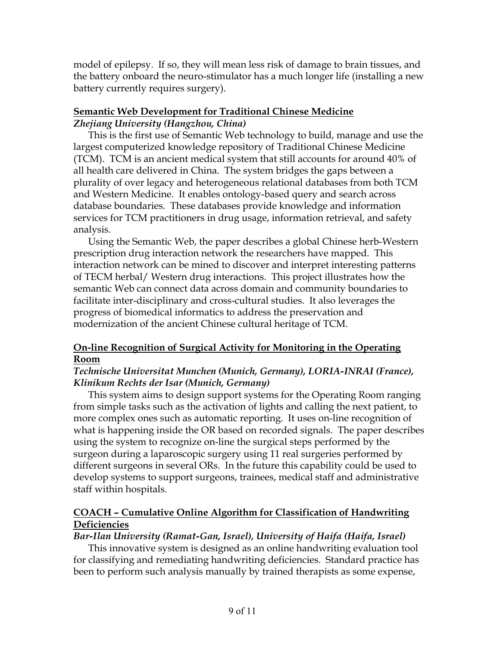model of epilepsy. If so, they will mean less risk of damage to brain tissues, and the battery onboard the neuro-stimulator has a much longer life (installing a new battery currently requires surgery).

#### **Semantic Web Development for Traditional Chinese Medicine** *Zhejiang University (Hangzhou, China)*

This is the first use of Semantic Web technology to build, manage and use the largest computerized knowledge repository of Traditional Chinese Medicine (TCM). TCM is an ancient medical system that still accounts for around 40% of all health care delivered in China. The system bridges the gaps between a plurality of over legacy and heterogeneous relational databases from both TCM and Western Medicine. It enables ontology-based query and search across database boundaries. These databases provide knowledge and information services for TCM practitioners in drug usage, information retrieval, and safety analysis.

Using the Semantic Web, the paper describes a global Chinese herb-Western prescription drug interaction network the researchers have mapped. This interaction network can be mined to discover and interpret interesting patterns of TECM herbal/ Western drug interactions. This project illustrates how the semantic Web can connect data across domain and community boundaries to facilitate inter-disciplinary and cross-cultural studies. It also leverages the progress of biomedical informatics to address the preservation and modernization of the ancient Chinese cultural heritage of TCM.

# **On-line Recognition of Surgical Activity for Monitoring in the Operating Room**

### *Technische Universitat Munchen (Munich, Germany), LORIA-INRAI (France), Klinikum Rechts der Isar (Munich, Germany)*

This system aims to design support systems for the Operating Room ranging from simple tasks such as the activation of lights and calling the next patient, to more complex ones such as automatic reporting. It uses on-line recognition of what is happening inside the OR based on recorded signals. The paper describes using the system to recognize on-line the surgical steps performed by the surgeon during a laparoscopic surgery using 11 real surgeries performed by different surgeons in several ORs. In the future this capability could be used to develop systems to support surgeons, trainees, medical staff and administrative staff within hospitals.

# **COACH – Cumulative Online Algorithm for Classification of Handwriting Deficiencies**

# *Bar-Ilan University (Ramat-Gan, Israel), University of Haifa (Haifa, Israel)*

This innovative system is designed as an online handwriting evaluation tool for classifying and remediating handwriting deficiencies. Standard practice has been to perform such analysis manually by trained therapists as some expense,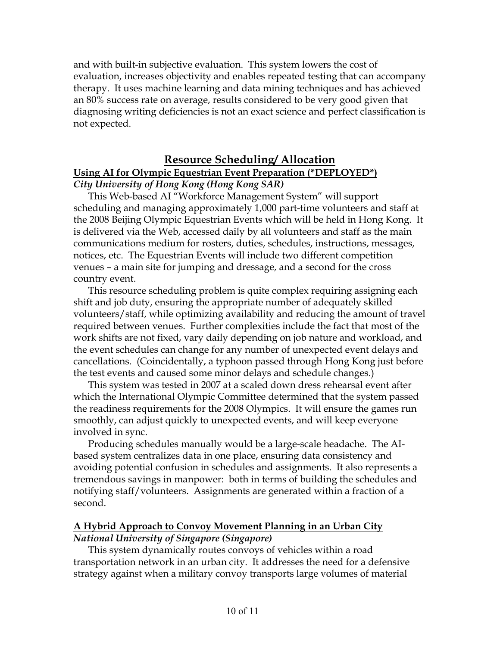and with built-in subjective evaluation. This system lowers the cost of evaluation, increases objectivity and enables repeated testing that can accompany therapy. It uses machine learning and data mining techniques and has achieved an 80% success rate on average, results considered to be very good given that diagnosing writing deficiencies is not an exact science and perfect classification is not expected.

# **Resource Scheduling/ Allocation Using AI for Olympic Equestrian Event Preparation (\*DEPLOYED\*)** *City University of Hong Kong (Hong Kong SAR)*

This Web-based AI "Workforce Management System" will support scheduling and managing approximately 1,000 part-time volunteers and staff at the 2008 Beijing Olympic Equestrian Events which will be held in Hong Kong. It is delivered via the Web, accessed daily by all volunteers and staff as the main communications medium for rosters, duties, schedules, instructions, messages, notices, etc. The Equestrian Events will include two different competition venues – a main site for jumping and dressage, and a second for the cross country event.

This resource scheduling problem is quite complex requiring assigning each shift and job duty, ensuring the appropriate number of adequately skilled volunteers/staff, while optimizing availability and reducing the amount of travel required between venues. Further complexities include the fact that most of the work shifts are not fixed, vary daily depending on job nature and workload, and the event schedules can change for any number of unexpected event delays and cancellations. (Coincidentally, a typhoon passed through Hong Kong just before the test events and caused some minor delays and schedule changes.)

This system was tested in 2007 at a scaled down dress rehearsal event after which the International Olympic Committee determined that the system passed the readiness requirements for the 2008 Olympics. It will ensure the games run smoothly, can adjust quickly to unexpected events, and will keep everyone involved in sync.

Producing schedules manually would be a large-scale headache. The AIbased system centralizes data in one place, ensuring data consistency and avoiding potential confusion in schedules and assignments. It also represents a tremendous savings in manpower: both in terms of building the schedules and notifying staff/volunteers. Assignments are generated within a fraction of a second.

#### **A Hybrid Approach to Convoy Movement Planning in an Urban City** *National University of Singapore (Singapore)*

This system dynamically routes convoys of vehicles within a road transportation network in an urban city. It addresses the need for a defensive strategy against when a military convoy transports large volumes of material